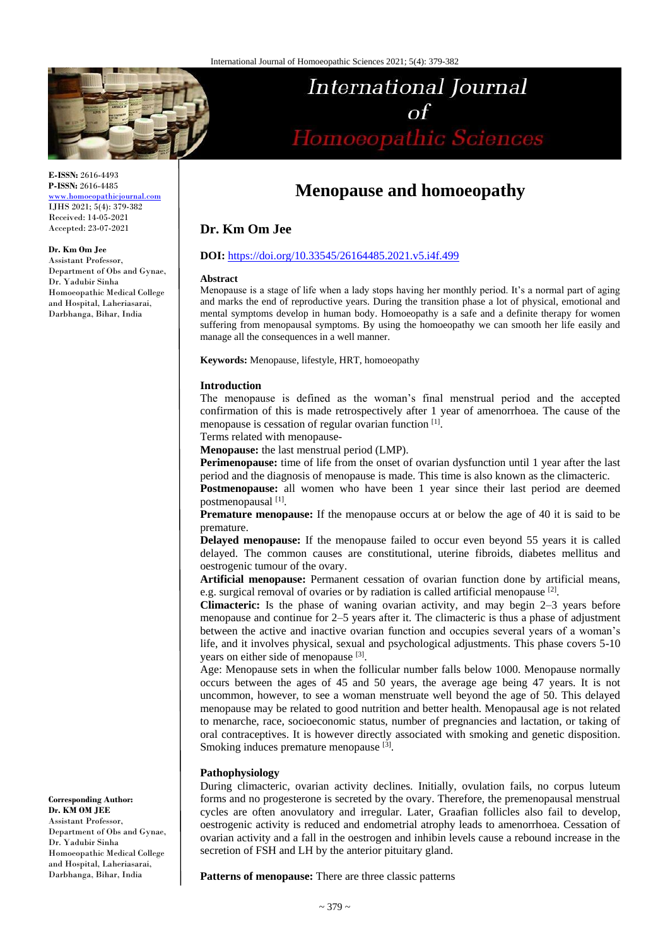

**E-ISSN:** 2616-4493 **P-ISSN:** 2616-4485 [www.homoeopathicjournal.com](http://www.homoeopathicjournal.com/)

IJHS 2021; 5(4): 379-382 Received: 14-05-2021 Accepted: 23-07-2021

#### **Dr. Km Om Jee**

Assistant Professor, Department of Obs and Gynae, Dr. Yadubir Sinha Homoeopathic Medical College and Hospital, Laheriasarai, Darbhanga, Bihar, India

# International Journal Homoeopathic Sciences

## **Menopause and homoeopathy**

### **Dr. Km Om Jee**

#### **DOI:** <https://doi.org/10.33545/26164485.2021.v5.i4f.499>

#### **Abstract**

Menopause is a stage of life when a lady stops having her monthly period. It's a normal part of aging and marks the end of reproductive years. During the transition phase a lot of physical, emotional and mental symptoms develop in human body. Homoeopathy is a safe and a definite therapy for women suffering from menopausal symptoms. By using the homoeopathy we can smooth her life easily and manage all the consequences in a well manner.

**Keywords:** Menopause, lifestyle, HRT, homoeopathy

#### **Introduction**

The menopause is defined as the woman's final menstrual period and the accepted confirmation of this is made retrospectively after 1 year of amenorrhoea. The cause of the menopause is cessation of regular ovarian function [1].

Terms related with menopause-

**Menopause:** the last menstrual period (LMP).

**Perimenopause:** time of life from the onset of ovarian dysfunction until 1 year after the last period and the diagnosis of menopause is made. This time is also known as the climacteric.

**Postmenopause:** all women who have been 1 year since their last period are deemed postmenopausal [1].

**Premature menopause:** If the menopause occurs at or below the age of 40 it is said to be premature.

**Delayed menopause:** If the menopause failed to occur even beyond 55 years it is called delayed. The common causes are constitutional, uterine fibroids, diabetes mellitus and oestrogenic tumour of the ovary.

**Artificial menopause:** Permanent cessation of ovarian function done by artificial means, e.g. surgical removal of ovaries or by radiation is called artificial menopause [2].

**Climacteric:** Is the phase of waning ovarian activity, and may begin 2–3 years before menopause and continue for 2–5 years after it. The climacteric is thus a phase of adjustment between the active and inactive ovarian function and occupies several years of a woman's life, and it involves physical, sexual and psychological adjustments. This phase covers 5-10 years on either side of menopause [3].

Age: Menopause sets in when the follicular number falls below 1000. Menopause normally occurs between the ages of 45 and 50 years, the average age being 47 years. It is not uncommon, however, to see a woman menstruate well beyond the age of 50. This delayed menopause may be related to good nutrition and better health. Menopausal age is not related to menarche, race, socioeconomic status, number of pregnancies and lactation, or taking of oral contraceptives. It is however directly associated with smoking and genetic disposition. Smoking induces premature menopause [3].

#### **Pathophysiology**

During climacteric, ovarian activity declines. Initially, ovulation fails, no corpus luteum forms and no progesterone is secreted by the ovary. Therefore, the premenopausal menstrual cycles are often anovulatory and irregular. Later, Graafian follicles also fail to develop, oestrogenic activity is reduced and endometrial atrophy leads to amenorrhoea. Cessation of ovarian activity and a fall in the oestrogen and inhibin levels cause a rebound increase in the secretion of FSH and LH by the anterior pituitary gland.

**Patterns of menopause:** There are three classic patterns

**Corresponding Author: Dr. KM OM JEE** Assistant Professor, Department of Obs and Gynae, Dr. Yadubir Sinha Homoeopathic Medical College and Hospital, Laheriasarai, Darbhanga, Bihar, India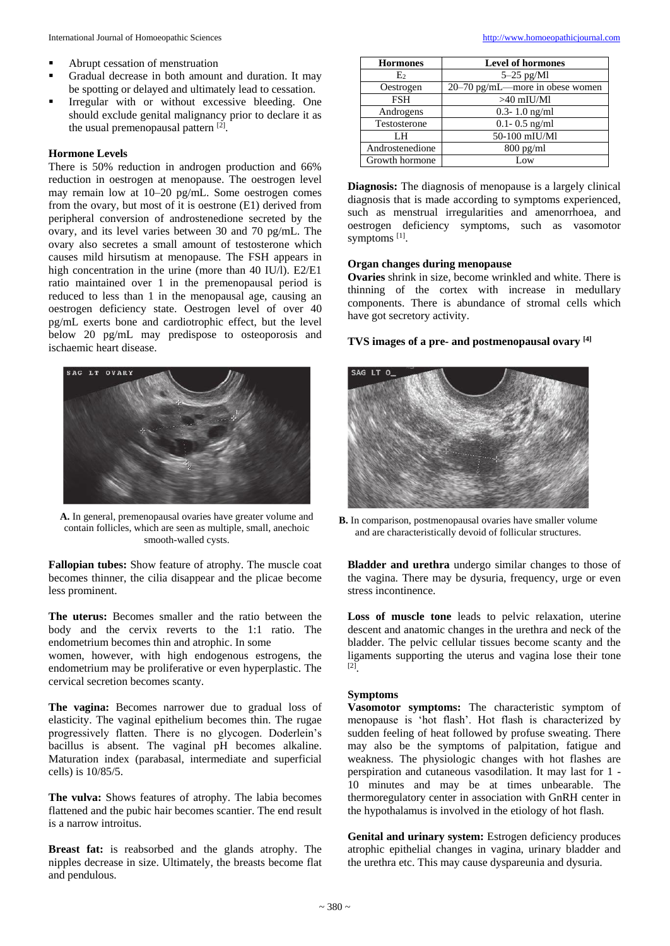- Abrupt cessation of menstruation
- Gradual decrease in both amount and duration. It may be spotting or delayed and ultimately lead to cessation.
- **Irregular with or without excessive bleeding. One** should exclude genital malignancy prior to declare it as the usual premenopausal pattern<sup>[2]</sup>.

#### **Hormone Levels**

There is 50% reduction in androgen production and 66% reduction in oestrogen at menopause. The oestrogen level may remain low at 10–20 pg/mL. Some oestrogen comes from the ovary, but most of it is oestrone (E1) derived from peripheral conversion of androstenedione secreted by the ovary, and its level varies between 30 and 70 pg/mL. The ovary also secretes a small amount of testosterone which causes mild hirsutism at menopause. The FSH appears in high concentration in the urine (more than 40 IU/l). E2/E1 ratio maintained over 1 in the premenopausal period is reduced to less than 1 in the menopausal age, causing an oestrogen deficiency state. Oestrogen level of over 40 pg/mL exerts bone and cardiotrophic effect, but the level below 20 pg/mL may predispose to osteoporosis and ischaemic heart disease.



**A.** In general, premenopausal ovaries have greater volume and contain follicles, which are seen as multiple, small, anechoic smooth-walled cysts.

**Fallopian tubes:** Show feature of atrophy. The muscle coat becomes thinner, the cilia disappear and the plicae become less prominent.

**The uterus:** Becomes smaller and the ratio between the body and the cervix reverts to the 1:1 ratio. The endometrium becomes thin and atrophic. In some

women, however, with high endogenous estrogens, the endometrium may be proliferative or even hyperplastic. The cervical secretion becomes scanty.

**The vagina:** Becomes narrower due to gradual loss of elasticity. The vaginal epithelium becomes thin. The rugae progressively flatten. There is no glycogen. Doderlein's bacillus is absent. The vaginal pH becomes alkaline. Maturation index (parabasal, intermediate and superficial cells) is 10/85/5.

**The vulva:** Shows features of atrophy. The labia becomes flattened and the pubic hair becomes scantier. The end result is a narrow introitus.

**Breast fat:** is reabsorbed and the glands atrophy. The nipples decrease in size. Ultimately, the breasts become flat and pendulous.

| <b>Hormones</b> | <b>Level of hormones</b>          |
|-----------------|-----------------------------------|
| E <sub>2</sub>  | $5-25$ pg/Ml                      |
| Oestrogen       | $20-70$ pg/mL—more in obese women |
| <b>FSH</b>      | $>40$ mIU/Ml                      |
| Androgens       | $0.3 - 1.0$ ng/ml                 |
| Testosterone    | $0.1 - 0.5$ ng/ml                 |
| LH              | 50-100 mIU/Ml                     |
| Androstenedione | $800 \text{ pg/ml}$               |
| Growth hormone  | Low                               |

**Diagnosis:** The diagnosis of menopause is a largely clinical diagnosis that is made according to symptoms experienced, such as menstrual irregularities and amenorrhoea, and oestrogen deficiency symptoms, such as vasomotor symptoms<sup>[1]</sup>.

#### **Organ changes during menopause**

**Ovaries** shrink in size, become wrinkled and white. There is thinning of the cortex with increase in medullary components. There is abundance of stromal cells which have got secretory activity.

#### **TVS images of a pre- and postmenopausal ovary [4]**



**B.** In comparison, postmenopausal ovaries have smaller volume and are characteristically devoid of follicular structures.

**Bladder and urethra** undergo similar changes to those of the vagina. There may be dysuria, frequency, urge or even stress incontinence.

**Loss of muscle tone** leads to pelvic relaxation, uterine descent and anatomic changes in the urethra and neck of the bladder. The pelvic cellular tissues become scanty and the ligaments supporting the uterus and vagina lose their tone [2] .

#### **Symptoms**

**Vasomotor symptoms:** The characteristic symptom of menopause is 'hot flash'. Hot flash is characterized by sudden feeling of heat followed by profuse sweating. There may also be the symptoms of palpitation, fatigue and weakness. The physiologic changes with hot flashes are perspiration and cutaneous vasodilation. It may last for 1 - 10 minutes and may be at times unbearable. The thermoregulatory center in association with GnRH center in the hypothalamus is involved in the etiology of hot flash.

**Genital and urinary system:** Estrogen deficiency produces atrophic epithelial changes in vagina, urinary bladder and the urethra etc. This may cause dyspareunia and dysuria.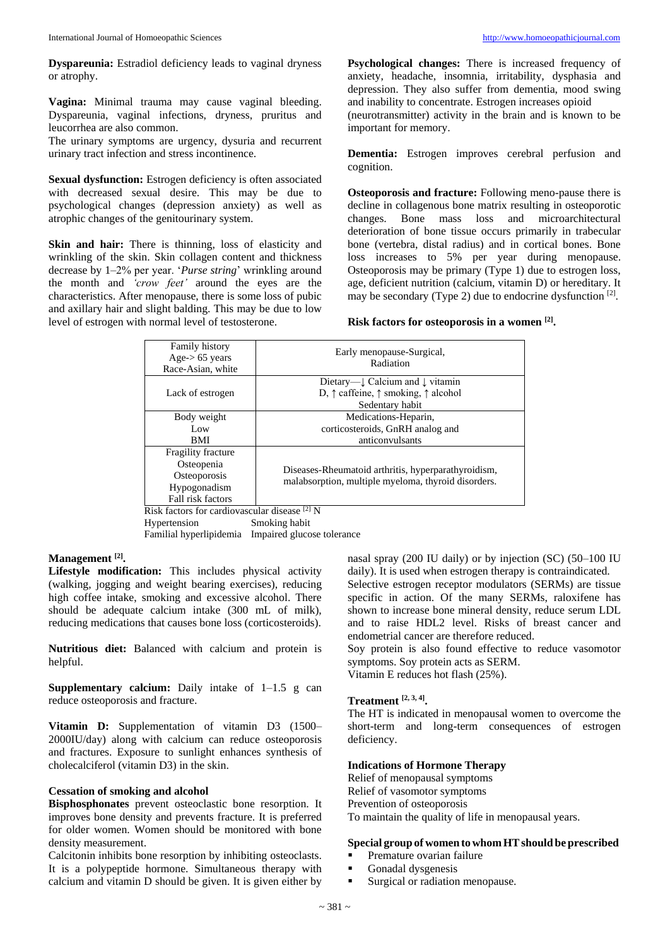**Dyspareunia:** Estradiol deficiency leads to vaginal dryness or atrophy.

**Vagina:** Minimal trauma may cause vaginal bleeding. Dyspareunia, vaginal infections, dryness, pruritus and leucorrhea are also common.

The urinary symptoms are urgency, dysuria and recurrent urinary tract infection and stress incontinence.

**Sexual dysfunction:** Estrogen deficiency is often associated with decreased sexual desire. This may be due to psychological changes (depression anxiety) as well as atrophic changes of the genitourinary system.

Skin and hair: There is thinning, loss of elasticity and wrinkling of the skin. Skin collagen content and thickness decrease by 1–2% per year. '*Purse string*' wrinkling around the month and *'crow feet'* around the eyes are the characteristics. After menopause, there is some loss of pubic and axillary hair and slight balding. This may be due to low level of estrogen with normal level of testosterone.

**Psychological changes:** There is increased frequency of anxiety, headache, insomnia, irritability, dysphasia and depression. They also suffer from dementia, mood swing and inability to concentrate. Estrogen increases opioid (neurotransmitter) activity in the brain and is known to be important for memory.

**Dementia:** Estrogen improves cerebral perfusion and cognition.

**Osteoporosis and fracture:** Following meno-pause there is decline in collagenous bone matrix resulting in osteoporotic<br>changes. Bone mass loss and microarchitectural Bone mass loss and microarchitectural deterioration of bone tissue occurs primarily in trabecular bone (vertebra, distal radius) and in cortical bones. Bone loss increases to 5% per year during menopause. Osteoporosis may be primary (Type 1) due to estrogen loss, age, deficient nutrition (calcium, vitamin D) or hereditary. It may be secondary (Type 2) due to endocrine dysfunction [2].

#### **Risk factors for osteoporosis in a women [2] .**

| Family history<br>Age- $> 65$ years<br>Race-Asian, white                              | Early menopause-Surgical,<br>Radiation                                                                               |
|---------------------------------------------------------------------------------------|----------------------------------------------------------------------------------------------------------------------|
| Lack of estrogen                                                                      | Dietary—↓ Calcium and ↓ vitamin<br>D, $\uparrow$ caffeine, $\uparrow$ smoking, $\uparrow$ alcohol<br>Sedentary habit |
| Body weight                                                                           | Medications-Heparin,                                                                                                 |
| Low                                                                                   | corticosteroids, GnRH analog and                                                                                     |
| BMI                                                                                   | anticonvulsants                                                                                                      |
| Fragility fracture<br>Osteopenia<br>Osteoporosis<br>Hypogonadism<br>Fall risk factors | Diseases-Rheumatoid arthritis, hyperparathyroidism,<br>malabsorption, multiple myeloma, thyroid disorders.           |

Risk factors for cardiovascular disease [2] N Hypertension Smoking habit Familial hyperlipidemia Impaired glucose tolerance

#### **Management [2] .**

**Lifestyle modification:** This includes physical activity (walking, jogging and weight bearing exercises), reducing high coffee intake, smoking and excessive alcohol. There should be adequate calcium intake (300 mL of milk), reducing medications that causes bone loss (corticosteroids).

**Nutritious diet:** Balanced with calcium and protein is helpful.

**Supplementary calcium:** Daily intake of 1–1.5 g can reduce osteoporosis and fracture.

**Vitamin D:** Supplementation of vitamin D3 (1500– 2000IU/day) along with calcium can reduce osteoporosis and fractures. Exposure to sunlight enhances synthesis of cholecalciferol (vitamin D3) in the skin.

#### **Cessation of smoking and alcohol**

**Bisphosphonates** prevent osteoclastic bone resorption. It improves bone density and prevents fracture. It is preferred for older women. Women should be monitored with bone density measurement.

Calcitonin inhibits bone resorption by inhibiting osteoclasts. It is a polypeptide hormone. Simultaneous therapy with calcium and vitamin D should be given. It is given either by

nasal spray (200 IU daily) or by injection (SC) (50–100 IU daily). It is used when estrogen therapy is contraindicated. Selective estrogen receptor modulators (SERMs) are tissue specific in action. Of the many SERMs, raloxifene has shown to increase bone mineral density, reduce serum LDL and to raise HDL2 level. Risks of breast cancer and endometrial cancer are therefore reduced.

Soy protein is also found effective to reduce vasomotor symptoms. Soy protein acts as SERM.

Vitamin E reduces hot flash (25%).

#### **Treatment [2, 3, 4] .**

The HT is indicated in menopausal women to overcome the short-term and long-term consequences of estrogen deficiency.

#### **Indications of Hormone Therapy**

Relief of menopausal symptoms Relief of vasomotor symptoms Prevention of osteoporosis To maintain the quality of life in menopausal years.

#### **Special group of women to whom HTshould be prescribed**

- Premature ovarian failure
- Gonadal dysgenesis
- Surgical or radiation menopause.